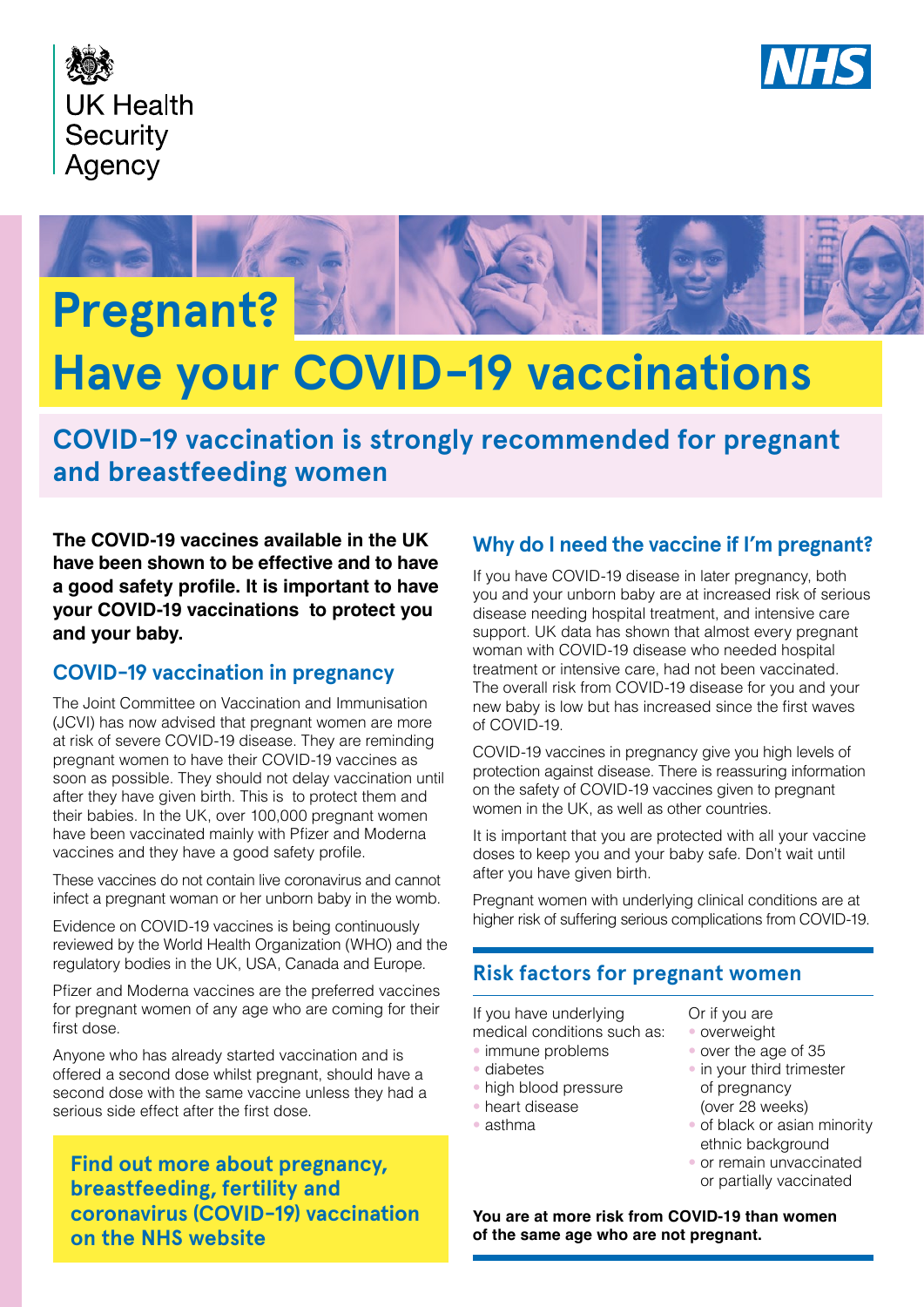





# **Have your COVID-19 vaccinations**

**COVID-19 vaccination is strongly recommended for pregnant and breastfeeding women**

**The COVID-19 vaccines available in the UK have been shown to be effective and to have a good safety profle. It is important to have your COVID-19 vaccinations to protect you and your baby.**

## **COVID-19 vaccination in pregnancy**

The Joint Committee on Vaccination and Immunisation (JCVI) has now advised that pregnant women are more at risk of severe COVID-19 disease. They are reminding pregnant women to have their COVID-19 vaccines as soon as possible. They should not delay vaccination until after they have given birth. This is to protect them and their babies. In the UK, over 100,000 pregnant women have been vaccinated mainly with Pfizer and Moderna vaccines and they have a good safety profile.

These vaccines do not contain live coronavirus and cannot infect a pregnant woman or her unborn baby in the womb.

Evidence on COVID-19 vaccines is being continuously reviewed by the World Health Organization (WHO) and the regulatory bodies in the UK, USA, Canada and Europe.

Pfizer and Moderna vaccines are the preferred vaccines for pregnant women of any age who are coming for their first dose.

Anyone who has already started vaccination and is offered a second dose whilst pregnant, should have a second dose with the same vaccine unless they had a serious side effect after the first dose.

**[Find out more about pregnancy,](https://www.nhs.uk/conditions/coronavirus-covid-19/coronavirus-vaccination/pregnancy-breastfeeding-fertility-and-coronavirus-covid-19-vaccination/)  [breastfeeding, fertility and](https://www.nhs.uk/conditions/coronavirus-covid-19/coronavirus-vaccination/pregnancy-breastfeeding-fertility-and-coronavirus-covid-19-vaccination/)  [coronavirus \(COVID-19\) vaccination](https://www.nhs.uk/conditions/coronavirus-covid-19/coronavirus-vaccination/pregnancy-breastfeeding-fertility-and-coronavirus-covid-19-vaccination/)  [on the NHS website](https://www.nhs.uk/conditions/coronavirus-covid-19/coronavirus-vaccination/pregnancy-breastfeeding-fertility-and-coronavirus-covid-19-vaccination/)**

# **Why do I need the vaccine if I'm pregnant?**

If you have COVID-19 disease in later pregnancy, both you and your unborn baby are at increased risk of serious disease needing hospital treatment, and intensive care support. UK data has shown that almost every pregnant woman with COVID-19 disease who needed hospital treatment or intensive care, had not been vaccinated. The overall risk from COVID-19 disease for you and your new baby is low but has increased since the first waves of COVID-19.

COVID-19 vaccines in pregnancy give you high levels of protection against disease. There is reassuring information on the safety of COVID-19 vaccines given to pregnant women in the UK, as well as other countries.

It is important that you are protected with all your vaccine doses to keep you and your baby safe. Don't wait until after you have given birth.

Pregnant women with underlying clinical conditions are at higher risk of suffering serious complications from COVID-19.

# **Risk factors for pregnant women**

If you have underlying medical conditions such as:

- immune problems
- diabetes
- high blood pressure
- heart disease
- asthma

Or if you are • overweight

- over the age of 35
- in your third trimester of pregnancy (over 28 weeks)
- of black or asian minority ethnic background
- or remain unvaccinated or partially vaccinated

**You are at more risk from COVID-19 than women of the same age who are not pregnant.**